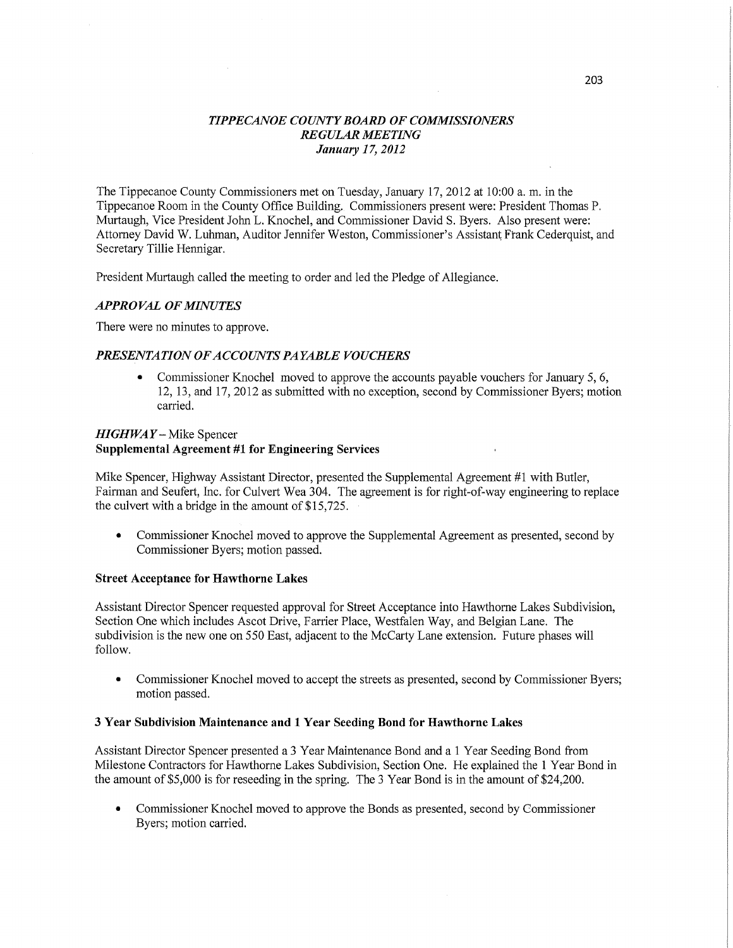# *TIPPECANOE COUNTY BOARD* OF *COMMISSIONERS REGULAR MEETING January* 17, *2012*

The Tippecanoe County Commissioners met on Tuesday, January 17, 2012 at 10:00 a. m. in the Tippecanoe Room in the County Office Building.' Commissioners present were: President Thomas P. Murtaugh, Vice President John L. Knochel, and Commissioner David S. Byers. Also present were: Attorney David W. Luhman, Auditor Jennifer Weston, Commissioner's Assistant Frank Cederquist, and Secretary Tillie Hennigar.

President Murtaugh called the meeting to order and led the Pledge of Allegiance.

## *APPROVAL* OF *MINUTES*

There were no minutes to approve.

# *PRESENTATION* OF *ACCOUNTS PAYABLE VOUCHERS*

**0** Commissioner Knochel moved to approve the accounts payable vouchers for January 5, 6, 12, 13, and 17, 2012 as submitted with no exception, second by Commissioner Byers; motion carried.

# *HIGHWAY* **—** Mike Spencer **Supplemental Agreement** #1 for **Engineering Services**

Mike Spencer, Highway Assistant Director, presented the Supplemental Agreement #1 with Butler, Fairman and Seufert, Inc. for Culvert Wea 304. The agreement is for right-of-way engineering to replace the culvert with a bridge in the amount of \$15,725. *.* 

**<sup>a</sup>**Commissioner Knochel moved to approve the Supplemental Agreement as presented, second by Commissioner Byers; motion passed.

### **Street Acceptance** for **Hawthorne Lakes**

Assistant Director Spencer requested approval for Street Acceptance into Hawthorne Lakes Subdivision, Section One which includes Ascot Drive, Farrier Place, Westfalen Way, and Belgian Lane. The subdivision is the new one on 550 East, adjacent to the McCarty Lane extension. Future phases will follow.

**0** Commissioner Knochel moved to accept the streets as presented, second by Commissioner Byers; motion passed.

### 3 **Year** Subdivision **Maintenance** and 1 **Year Seeding Bond** for **Hawthorne Lakes**

Assistant Director Spencer presented a 3 Year Maintenance Bond and a 1 Year Seeding Bond from Milestone Contractors for Hawthorne Lakes Subdivision, Section One. He explained the 1 Year Bond in the amount of \$5,000 is for reseeding in the spring. The 3 Year Bond is in the amount of \$24,200.

**0** Commissioner Knochel moved to approve the Bonds as presented, second by Commissioner Byers; motion carried.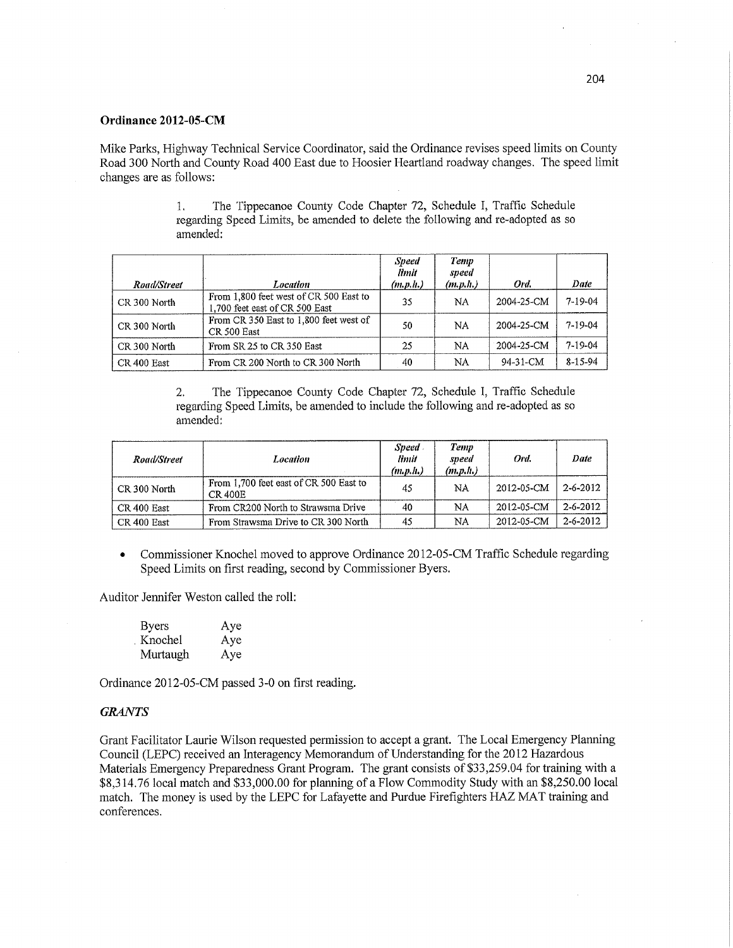### **Ordinance 2012-05-CM**

Mike Parks, Highway Technical Service Coordinator, said the Ordinance revises speed limits on County Road 300 North and County Road 400 East due to Hoosier **Heartland** roadway changes. The speed **limit**  changes are as follows:

1. The Tippecanoe County Code Chapter 72, Schedule I, **Traffic** Schedule regarding Speed Limits, be amended to delete the following and re-adopted as so amended:

| Road/Street  | Location                                                                 | <b>Speed</b><br>limit<br>(m,p,h) | Temp<br>speed<br>(m.p.h.) | Ord.       | Date          |
|--------------|--------------------------------------------------------------------------|----------------------------------|---------------------------|------------|---------------|
| CR 300 North | From 1,800 feet west of CR 500 East to<br>1,700 feet east of CR 500 East | 35                               | <b>NA</b>                 | 2004-25-CM | $7 - 19 - 04$ |
| CR 300 North | From CR 350 East to 1,800 feet west of<br>CR 500 East                    | 50                               | NA                        | 2004-25-CM | $7 - 19 - 04$ |
| CR 300 North | From SR 25 to CR 350 East                                                | 25                               | NA                        | 2004-25-CM | $7 - 19 - 04$ |
| CR 400 East  | From CR 200 North to CR 300 North                                        | 40                               | NA                        | 94-31-CM   | $8 - 15 - 94$ |

2. The Tippecanoe County Code Chapter 72, Schedule 1, **Traffic** Schedule regarding Speed **Limits,** be amended to **include** the following and re-adopted as so amended:

| Road/Street  | <b>Location</b>                                          | Speed.<br>limit<br>(m.p.h.) | Temp<br>speed<br>(m, p, h) | Ord.       | Date           |
|--------------|----------------------------------------------------------|-----------------------------|----------------------------|------------|----------------|
| CR 300 North | From 1,700 feet east of CR 500 East to<br><b>CR 400E</b> | 45                          | NA                         | 2012-05-CM | $2 - 6 - 2012$ |
| CR 400 East  | From CR200 North to Strawsma Drive                       | 40                          | NA                         | 2012-05-CM | 2-6-2012       |
| CR 400 East  | From Strawsma Drive to CR 300 North                      | 45                          | NA                         | 2012-05-CM | $2 - 6 - 2012$ |

**-** Commissioner Knochel moved to approve Ordinance 2012-05-CM Traffic **Schedule** regarding Speed **Limits** on first reading, second by Commissioner **Byers.** 

Auditor Jennifer Weston called the roll:

| <b>Byers</b> | Aye |
|--------------|-----|
| Knochel      | Aye |
| Murtaugh     | Aye |

Ordinance 2012—05-CM passed 3-0 on **first** reading.

#### *GRANTS*

Grant Facilitator Laurie Wilson requested permission to accept a grant. The Local Emergency Planning Council (LEPC) received an Interagency Memorandum of Understanding for the 2012 Hazardous Materials Emergency Preparedness Grant Program. The grant consists of \$33,259.04 for training with a \$8,314.76 local **match** and \$33,000.00 for planning of a Flow Commodity Study with an \$8,250.00 local match. The money is used by the LEPC for Lafayette and Purdue Firefighters HAZ MAT training and conferences.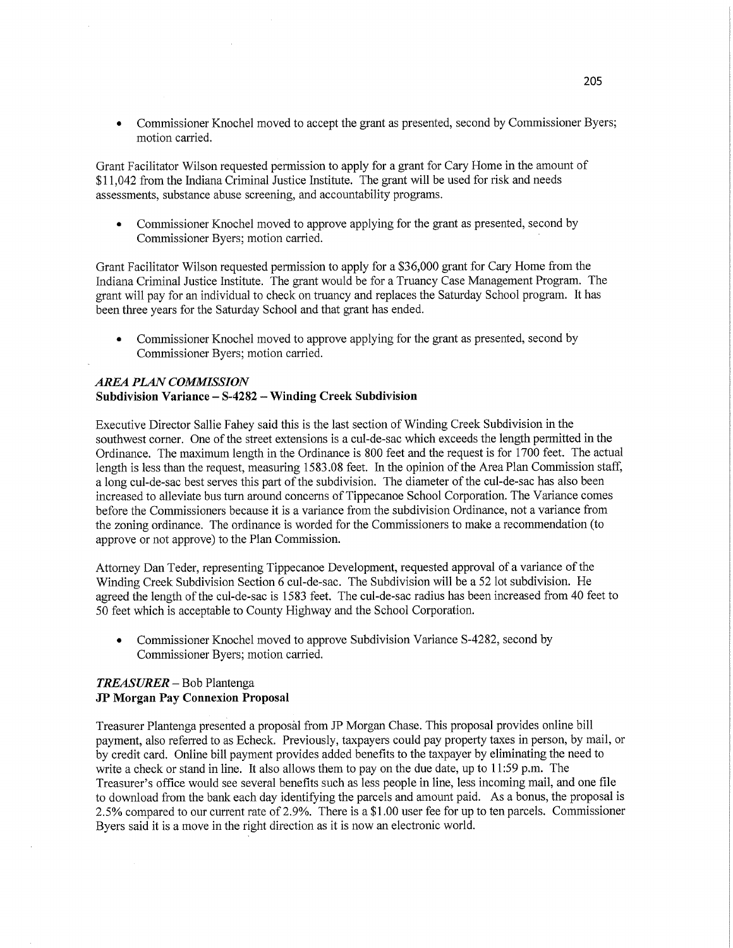Commissioner Knochel moved to accept the grant as presented, second by Commissioner Byers; motion carried.

Grant Facilitator Wilson requested permission to apply for a grant for Cary Home in the amount of \$11,042 from the Indiana Criminal Justice Institute. The grant will be used for **risk** and needs assessments, substance abuse screening, and accountability programs.

**0** Commissioner Knochel moved to approve applying for the grant as presented, second by Commissioner Byers; motion **carried.** '

Grant Facilitator Wilson requested permission to apply for a \$36,000 grant for Cary Home from the Indiana Criminal Justice Institute. The grant would be for a Truancy Case Management Program. The grant will pay for an individual to check on truancy and replaces the Saturday School program. It has been three years for the Saturday School and that grant has **ended.** 

**0** Commissioner Knochel moved to approve applying for the grant as presented, second by Commissioner Byers; motion carried.

# *AREA PLAN COMMISSION*

## **Subdivision Variance** — **8-4282** — Winding **Creek Subdivision**

Executive Director Sallie Fahey said this is the last section of Winding Creek Subdivision in the southwest corner. One of the street extensions is a cul-de-sac **which** exceeds the length permitted in the Ordinance. The maximum length in the Ordinance is 800 feet and the request is for 1700 feet. The actual length is less than the request, measuring 1583.08 feet. In the opinion of the Area Plan Commission staff, a long cul-de-sac best serves **this** part of the subdivision. The diameter of the cul-de-sac has also been increased to alleviate bus turn around concerns of Tippecanoe School Corporation. The Variance comes before the Commissioners because it is a variance from the subdivision **Ordinance,** not a **variance** from the zoning **ordinance.** The **ordinance** is worded for the Commissioners to make a recommendation (to **approve** or not approve) to the Plan Commission.

Attorney Dan Teder, representing Tippecanoe Development, requested approval of a variance of the Winding Creek Subdivision Section *6* cul-de-sac. The Subdivision will be a 52 lot subdivision. He agreed the length of the cul-de-sac is 1583 feet. The cul-de-sac radius has been increased from 40 **feet** to 50 feet which is acceptable to County Highway and the School Corporation.

• Commissioner Knochel moved to approve Subdivision Variance S-4282, second by Commissioner Byers; motion carried.

### *TREASURER —* Bob Plantenga JP **Morgan** Pay **Connexion Proposal**

Treasurer Plantenga presented a proposal from JP Morgan **Chase. This** proposal provides online bill payment, also referred to as Echeck. Previously, taxpayers could pay property taxes in person, by mail, or by credit card. Online bill payment provides added benefits to the taxpayer by eliminating the need to write a check or stand in line. It also allows them to pay on the due date, up to 11:59 p.m. The Treasurer's office would see several benefits such as less people in line, less incoming mail, and one file to download from the bank each day identifying the parcels and amount paid. As a bonus, the proposal is **2.5%** compared to our current rate of 2.9%. There is a \$1.00 user fee for up to ten parcels. Commissioner Byers said it is **a** move in the **right** direction as it is now an electronic world.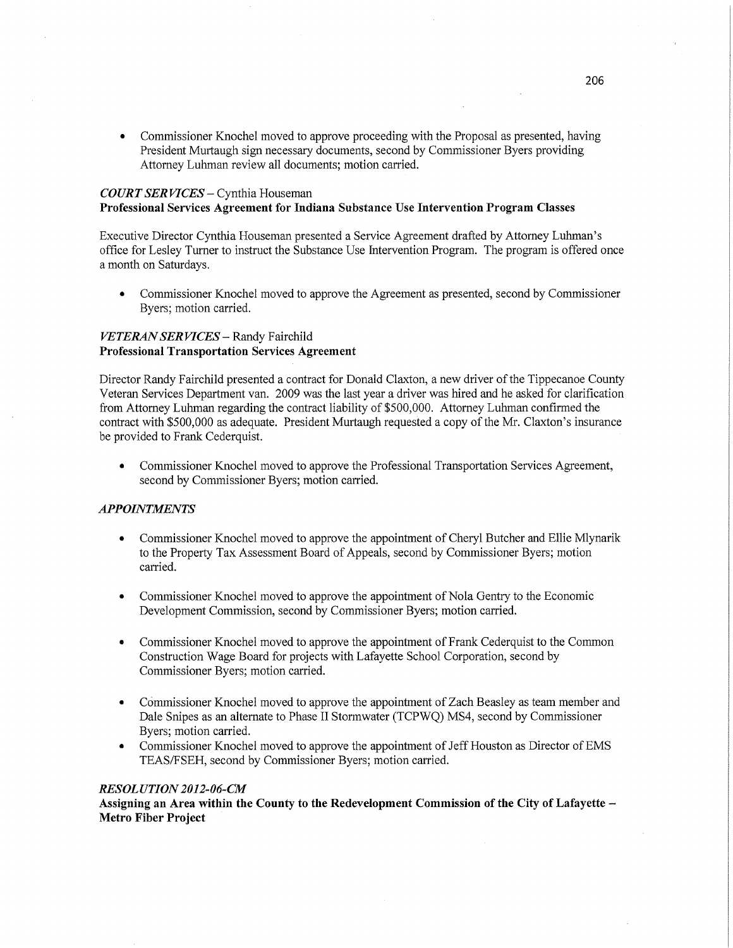**0** Commissioner Knochel moved to approve proceeding with the Proposal as presented, having President Murtaugh sign necessary documents, second by Commissioner Byers providing Attorney Luhman review all documents; motion carried.

# *COURT* SER *WCES* **—** Cynthia Houseman **Professional Services Agreement** for **Indiana** Substance Use Intervention **Program** Classes

Executive Director Cynthia Houseman presented a Service Agreement drafted by Attomey Luhman's office for Lesley Turner to instruct the Substance Use Intervention Program. The program is offered once a month on Saturdays.

• Commissioner Knochel moved to approve the Agreement as presented, second by Commissioner Byers; motion carried.

### *VETERAN* SER *VICES* **—** Randy Fairchild **Professional Transportation Services Agreement**

Director Randy Fairchild presented a contract for Donald Claxton, a new driver of the Tippecanoe County Veteran Services Department van. 2009 was the last year a driver was hired and he asked for clarification from Attorney Luhman regarding the contract liability of \$500,000. Attorney Luhman confirmed the contract with \$500,000 as adequate. President Murtaugh requested a copy of the Mr. Claxton's insurance be provided to Frank Cederquist.

**0** Commissioner Knochel moved to approve the Professional Transportation Services Agreement, second by Commissioner Byers; motion carried.

## *APPOINTMENTS*

- **0** Commissioner Knochel moved to approve the appointment of Cheryl Butcher and Ellie Mlynarik to the Property Tax Assessment Board of Appeals, second by Commissioner Byers; motion carried.
- **0** Commissioner Knochel moved to approve the appointment of Nola Gentry to the Economic Development Commission, second by Commissioner Byers; motion carried.
- **0** Commissioner Knochel moved to approve the appointment of Frank Cederquist to the Common Construction Wage Board for projects with Lafayette School Corporation, second by Commissioner Byers; motion carried.
- **0** Commissioner Knochel moved to approve the appointment of Zach Beasley as team member and Dale Snipes as an alternate to Phase II Stormwater (TCPWQ) MS4, second by Commissioner Byers; motion carried.
- **0** Commissioner Knochel moved to approve the appointment of Jeff Houston as Director of EMS TEAS/FSEH, second by Commissioner Byers; motion carried.

### *RESOL UTION 2012-06-CM*

**Assigning** an **Area** within the **County** to the **Redevelopment Commission** of the **City** of **Lafayette — Metro Fiber Project**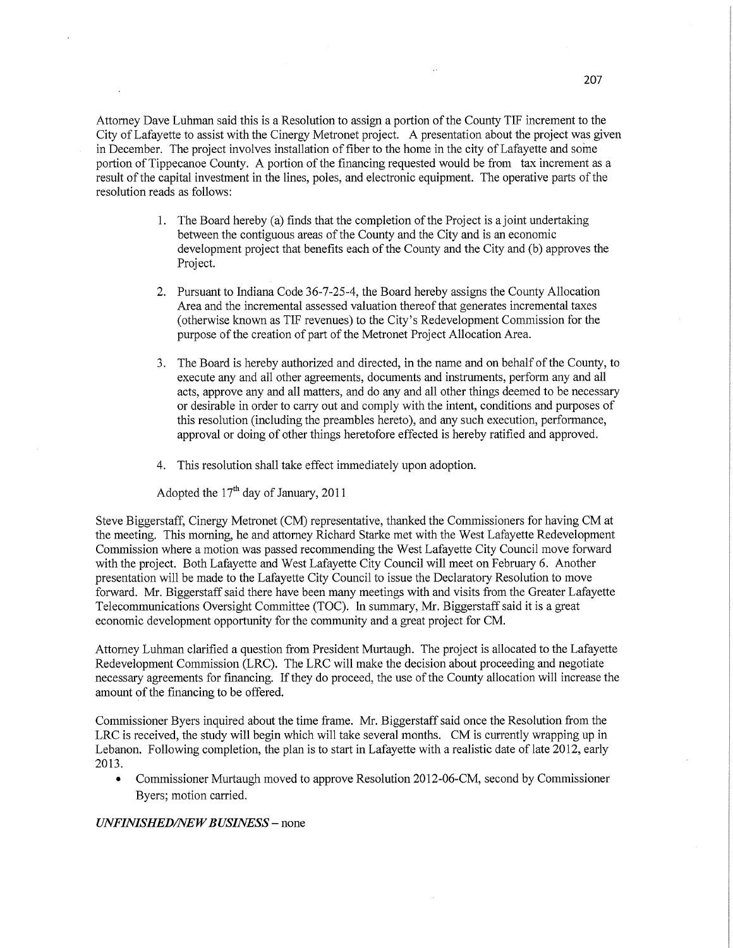Attorney Dave Luhman said this is a Resolution to assign a portion of the County TIF increment to the City of Lafayette to assist with the Cinergy Metronet project. A presentation about the project was given in December. The project involves installation of fiber to the home in the city of Lafayette and some portion of Tippecanoe County. A portion of the financing requested would be from tax increment as <sup>a</sup> result of the capital investment in the lines, poles, and electronic equipment. The operative parts of the resolution reads as follows:

- 1. The Board hereby (a) finds that the completion of the Project is **a** joint undertaking between the contiguous areas of the County and the City and is an economic development project that benefits each of the County and the City and (b) approves the Project.
- 2. Pursuant to Indiana Code 36-7-25-4, the Board hereby assigns the County Allocation Area and the incremental assessed valuation thereof that generates incremental taxes (otherwise known as TIF revenues) to the City's Redevelopment Commission for the purpose of the creation of part of the Metronet Project Allocation Area.
- 3. The Board is hereby authorized and directed, in the name and on behalf of the County, to execute any and all other agreements, documents and instruments, perform any and all acts, approve any and all matters, and do any and all other things deemed to be necessary or desirable in order to carry out and comply with the intent, conditions and purposes of this resolution (including the preambles hereto), and any such execution, performance, approval or doing of other things heretofore effected is hereby ratified and approved.
- 4. This resolution shall take effect immediately upon adoption.

Adopted the  $17<sup>th</sup>$  day of January, 2011

Steve Biggerstaff, Cinergy Metronet (CM) representative, thanked the Commissioners for having CM at the meeting. This morning, he and attorney Richard Starke met with the West Lafayette Redevelopment Commission where a motion was passed recommending the West Lafayette City Council move forward with the project. Both Lafayette and West Lafayette City Council will meet on February 6. Another presentation will be made to the Lafayette City Council to issue the Declaratory Resolution to move forward. Mr. Biggerstaff said there have been many meetings with and visits from the Greater Lafayette Telecommunications Oversight Committee (TOC). In summary, Mr. Biggerstaff said it is a grea<sup>t</sup> economic development opportunity for the community and a great project for CM.

Attorney Luhman clarified a question from President Murtaugh. The project is allocated to the Lafayette Redevelopment Commission (LRC). The LRC will make the decision about proceeding and negotiate necessary agreements for **financing.** If they do proceed, the use of the County allocation will increase the amount of the financing to be offered.

Commissioner Byers inquired about the time frame. Mr. Biggerstaff said once the Resolution from the LRC is received, the study will begin which will take several months. CM is currently wrapping up in Lebanon. Following completion, the plan is to start in Lafayette with a realistic date of late 2012, early 2013.

• Commissioner Murtaugh moved to approve Resolution 2012-06-CM, second by Commissioner Byers; motion carried.

### *UNFINISHED/NEW BUSINESS –* none